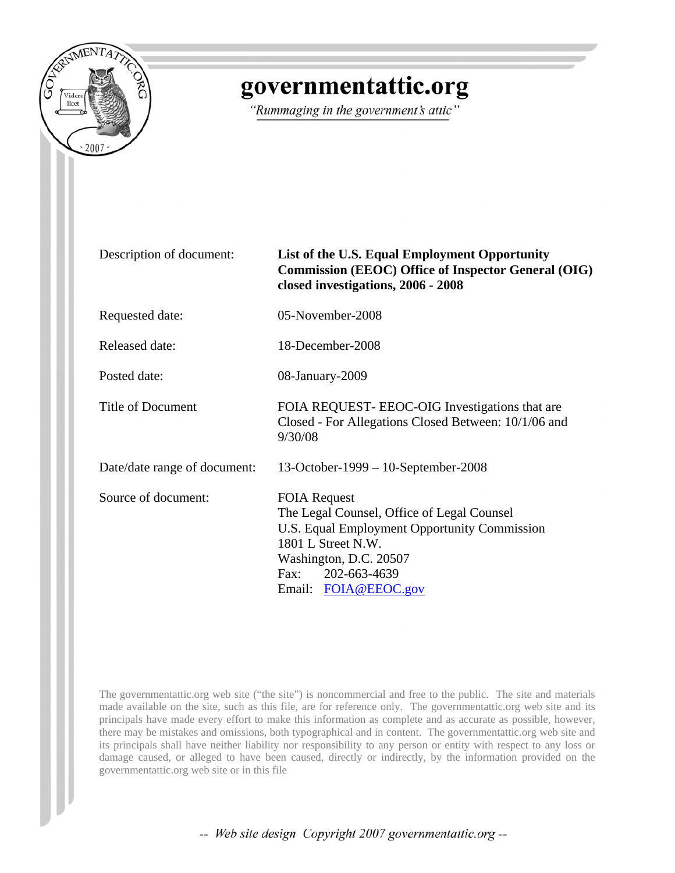

# governmentattic.org

"Rummaging in the government's attic"

| Description of document:     | List of the U.S. Equal Employment Opportunity<br><b>Commission (EEOC) Office of Inspector General (OIG)</b><br>closed investigations, 2006 - 2008                                                                 |
|------------------------------|-------------------------------------------------------------------------------------------------------------------------------------------------------------------------------------------------------------------|
| Requested date:              | 05-November-2008                                                                                                                                                                                                  |
| Released date:               | 18-December-2008                                                                                                                                                                                                  |
| Posted date:                 | 08-January-2009                                                                                                                                                                                                   |
| <b>Title of Document</b>     | FOIA REQUEST- EEOC-OIG Investigations that are<br>Closed - For Allegations Closed Between: 10/1/06 and<br>9/30/08                                                                                                 |
| Date/date range of document: | $13-October-1999-10-September-2008$                                                                                                                                                                               |
| Source of document:          | <b>FOIA Request</b><br>The Legal Counsel, Office of Legal Counsel<br>U.S. Equal Employment Opportunity Commission<br>1801 L Street N.W.<br>Washington, D.C. 20507<br>Fax:<br>202-663-4639<br>Email: FOIA@EEOC.gov |

The governmentattic.org web site ("the site") is noncommercial and free to the public. The site and materials made available on the site, such as this file, are for reference only. The governmentattic.org web site and its principals have made every effort to make this information as complete and as accurate as possible, however, there may be mistakes and omissions, both typographical and in content. The governmentattic.org web site and its principals shall have neither liability nor responsibility to any person or entity with respect to any loss or damage caused, or alleged to have been caused, directly or indirectly, by the information provided on the governmentattic.org web site or in this file

-- Web site design Copyright 2007 governmentattic.org --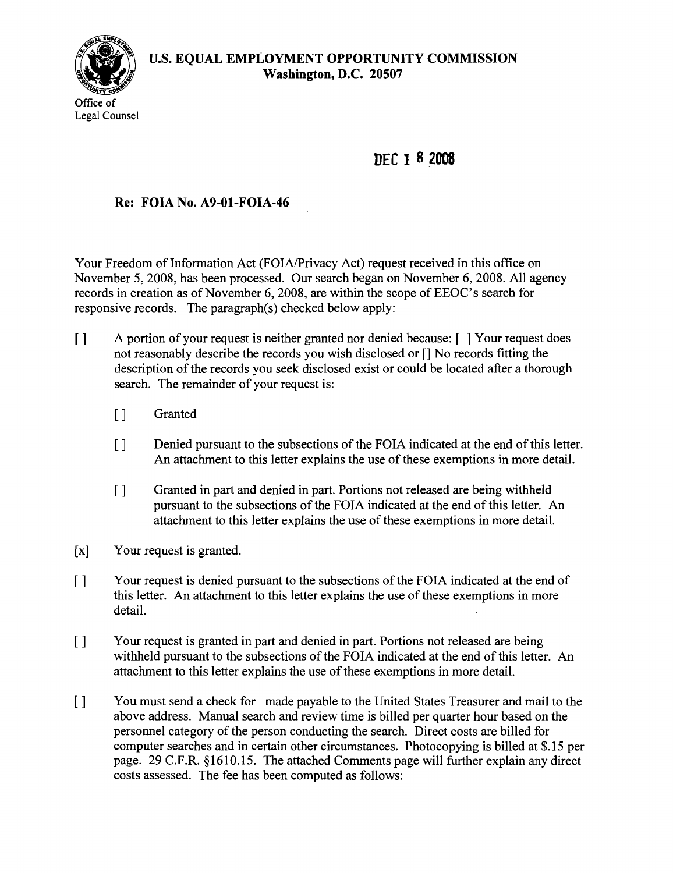

**DEC 1 82008**

## **Re: FOIA No. A9-01-FOIA-46**

Your Freedom of Information Act (FOIA/Privacy Act) request received in this office on November 5, 2008, has been processed. Our search began on November 6, 2008. All agency records in creation as of November 6, 2008, are within the scope of EEOC's search for responsive records. The paragraph(s) checked below apply:

- [ ] A portion of your request is neither granted nor denied because: [ ] Your request does not reasonably describe the records you wish disclosed or [] No records fitting the description of the records you seek disclosed exist or could be located after a thorough search. The remainder of your request is:
	- [] Granted
	- [] Denied pursuant to the subsections of the FOIA indicated at the end of this letter. An attachment to this letter explains the use of these exemptions in more detail.
	- [] Granted in part and denied in part. Portions not released are being withheld pursuant to the subsections of the FOIA indicated at the end of this letter. An attachment to this letter explains the use of these exemptions in more detail.
- [x] Your request is granted.
- [] Your request is denied pursuant to the subsections of the FOIA indicated at the end of this letter. An attachment to this letter explains the use of these exemptions in more detail.
- [] Your request is granted in part and denied in part. Portions not released are being withheld pursuant to the subsections of the FOIA indicated at the end of this letter. An attachment to this letter explains the use of these exemptions in more detail.
- [ ] You must send a check for made payable to the United States Treasurer and mail to the above address. Manual search and review time is billed per quarter hour based on the personnel category of the person conducting the search. Direct costs are billed for computer searches and in certain other circumstances. Photocopying is billed at \$.15 per page. 29 C.F.R. §1610.15. The attached Comments page will further explain any direct costs assessed. The fee has been computed as follows: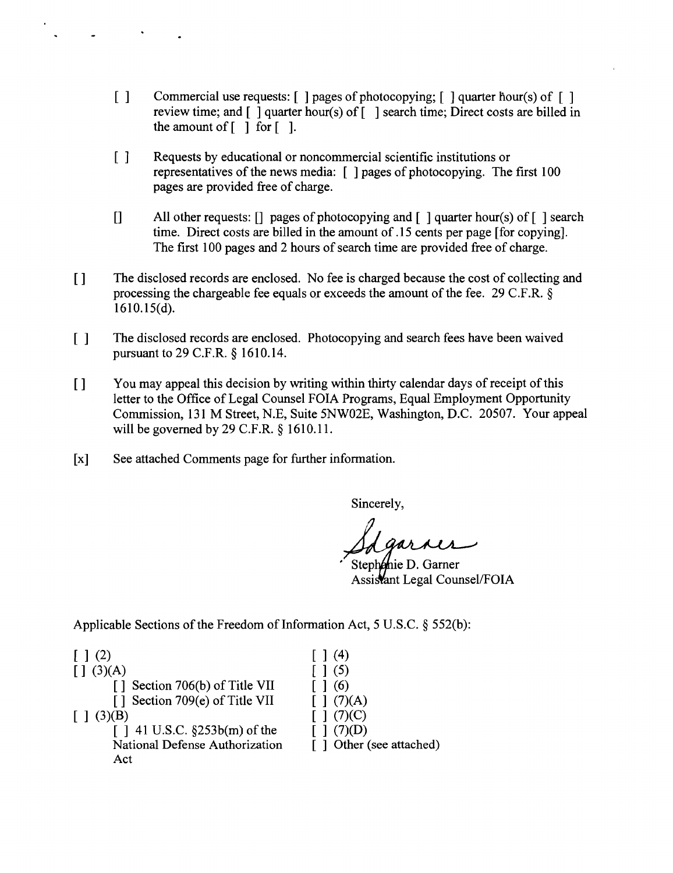- [ ] Commercial use requests: [ ] pages of photocopying; [ ] quarter hour(s) of [ ] review time; and  $\lceil \cdot \rceil$  quarter hour(s) of  $\lceil \cdot \rceil$  search time; Direct costs are billed in the amount of  $\lceil \ \rceil$  for  $\lceil \ \rceil$ .
- [ ] Requests by educational or noncommercial scientific institutions or representatives of the news media:  $\lceil \cdot \rceil$  pages of photocopying. The first 100 pages are provided free of charge.
- [] All other requests: [] pages of photocopying and [ ] quarter hour(s) of [ ] search time. Direct costs are billed in the amount of.15 cents per page [for copying]. The first 100 pages and 2 hours of search time are provided free of charge.
- [] The disclosed records are enclosed. No fee is charged because the cost of collecting and processing the chargeable fee equals or exceeds the amount of the fee. 29 C.F.R.  $\delta$ 161O.15(d).
- [ ] The disclosed records are enclosed. Photocopying and search fees have been waived pursuant to 29 C.F.R. § 1610.14.
- [] You may appeal this decision by writing within thirty calendar days of receipt of this letter to the Office of Legal Counsel FOIA Programs, Equal Employment Opportunity Commission, 131 M Street, N.E, Suite 5NW02E, Washington, D.C. 20507. Your appeal will be governed by 29 C.F.R. § 1610.11.
- [x] See attached Comments page for further information.

Sincerely,

Stephanie D. Garner Assistant Legal Counsel/FOIA

Applicable Sections of the Freedom of Information Act, 5 U.S.C.  $\S$  552(b):

| [1(2)]                             | 1(4)                     |
|------------------------------------|--------------------------|
| [1 (3)(A)]                         | $\lceil \ \rceil$ (5)    |
| [] Section 706(b) of Title VII     | 1(6)                     |
| [] Section 709(e) of Title VII     | $\lceil (7)(A) \rceil$   |
| [1(3)(B)]                          | [1 (7)(C)]               |
| $[$   41 U.S.C. $\S253b(m)$ of the | (7)(D)                   |
| National Defense Authorization     | [ ] Other (see attached) |
| Act                                |                          |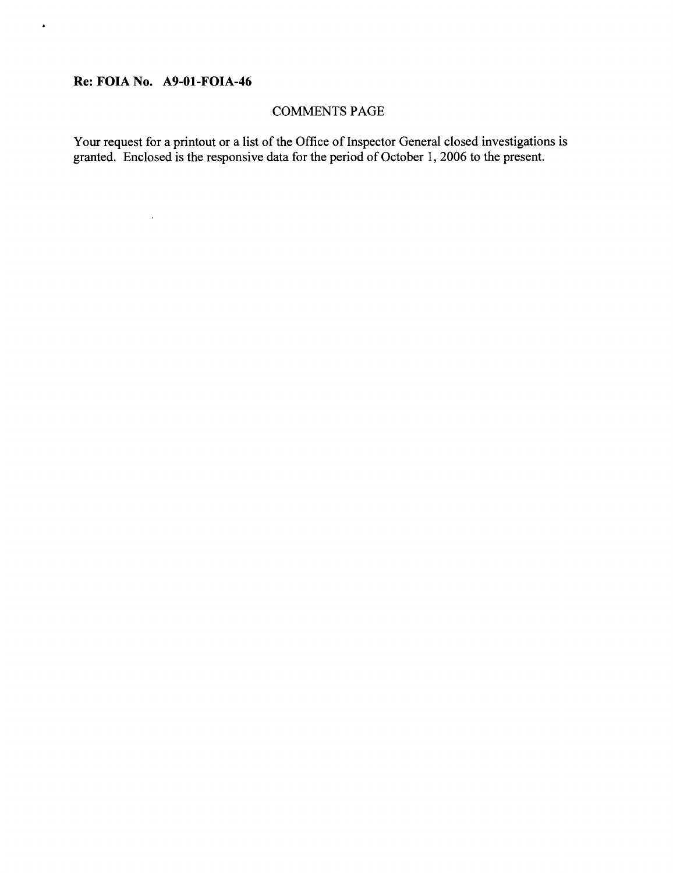## **Re: FOIA No. A9-01-FOIA-46**

 $\mathcal{A}^{\mathcal{A}}$ 

 $\bullet$ 

## COMMENTS PAGE

Your request for a printout or a list of the Office of Inspector General closed investigations is granted. Enclosed is the responsive data for the period of October 1, 2006 to the present.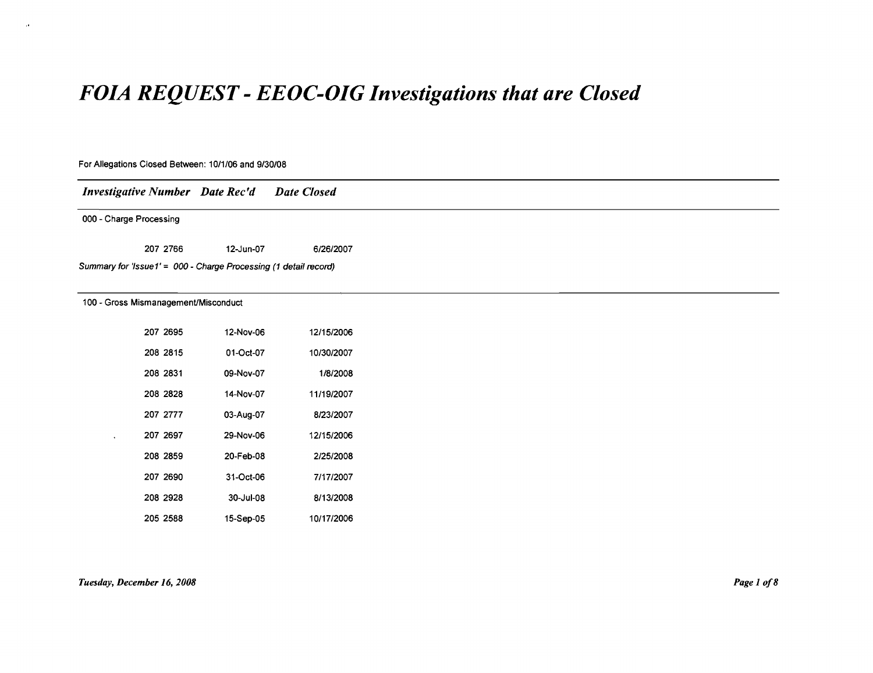# *FOIA REQUEST* **-** *EEOC-DIG Investigations that are Closed*

# For Allegations Closed Between: 10/1/06 and 9/30/08 *Investigative Number Date Rec'd* 000 - Charge Processing *Date Closed* 207 2766 12-Jun-07 6/26/2007 Summary for 'Issue 1'= 000 - Charge Processing (1 detail record) 100 - Gross Mismanagement/Misconduct 207 2695 12-Nov-06 12/15/2006 208 2815 01-0ct-07 10/30/2007 2082831 09-Nov-07 1/8/2008 2082828 14-Nov-07 11/19/2007 207 2777 03-Aug-07 8123/2007 207 2697 29-Nov-06 12/15/2006 208 2859 20-Feb-08 2/25/2008 207 2690 31-0ct-06 7/17/2007 2082928 30-Jul-08 8/13/2008 2052588 15-Sep-05 10/17/2006

 $\mathbf{A}$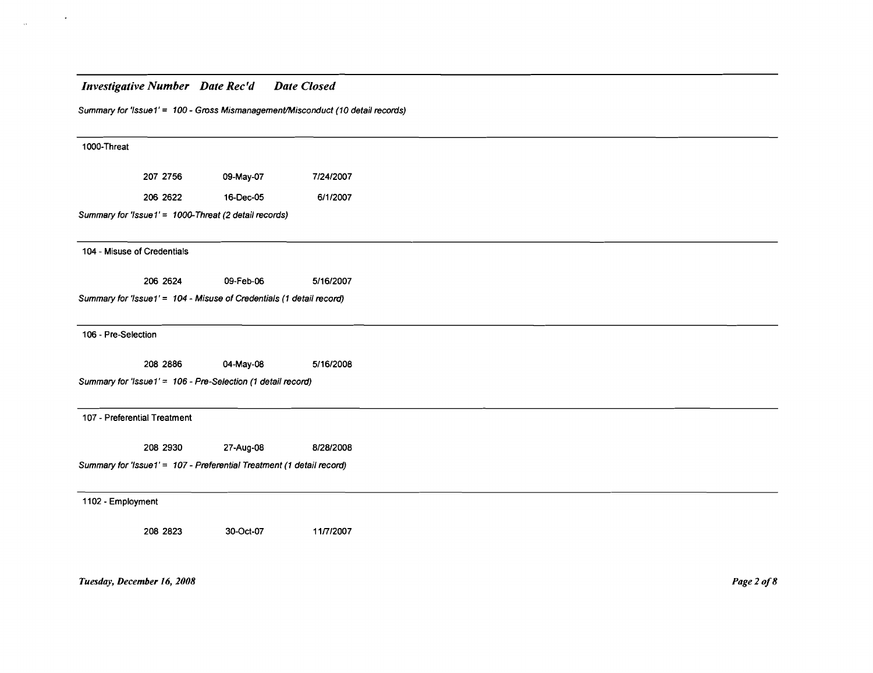$\langle \cdot \rangle$ 

 $\sim 10^{-11}$ 

|                     |                              |                                                                       | Summary for 'Issue1' = 100 - Gross Mismanagement/Misconduct (10 detail records) |
|---------------------|------------------------------|-----------------------------------------------------------------------|---------------------------------------------------------------------------------|
| 1000-Threat         |                              |                                                                       |                                                                                 |
|                     | 207 2756                     | 09-May-07                                                             | 7/24/2007                                                                       |
|                     | 206 2622                     | 16-Dec-05                                                             | 6/1/2007                                                                        |
|                     |                              | Summary for 'Issue1' = 1000-Threat (2 detail records)                 |                                                                                 |
|                     | 104 - Misuse of Credentials  |                                                                       |                                                                                 |
|                     | 206 2624                     | 09-Feb-06                                                             | 5/16/2007                                                                       |
|                     |                              | Summary for 'Issue1' = 104 - Misuse of Credentials (1 detail record)  |                                                                                 |
| 106 - Pre-Selection |                              |                                                                       |                                                                                 |
|                     | 208 2886                     | 04-May-08                                                             | 5/16/2008                                                                       |
|                     |                              | Summary for 'Issue1' = 106 - Pre-Selection (1 detail record)          |                                                                                 |
|                     | 107 - Preferential Treatment |                                                                       |                                                                                 |
|                     | 208 2930                     | 27-Aug-08                                                             | 8/28/2008                                                                       |
|                     |                              | Summary for 'Issue1' = 107 - Preferential Treatment (1 detail record) |                                                                                 |
| 1102 - Employment   |                              |                                                                       |                                                                                 |
|                     | 208 2823                     | 30-Oct-07                                                             | 11/7/2007                                                                       |

*Tuesday, December* 16, *1008*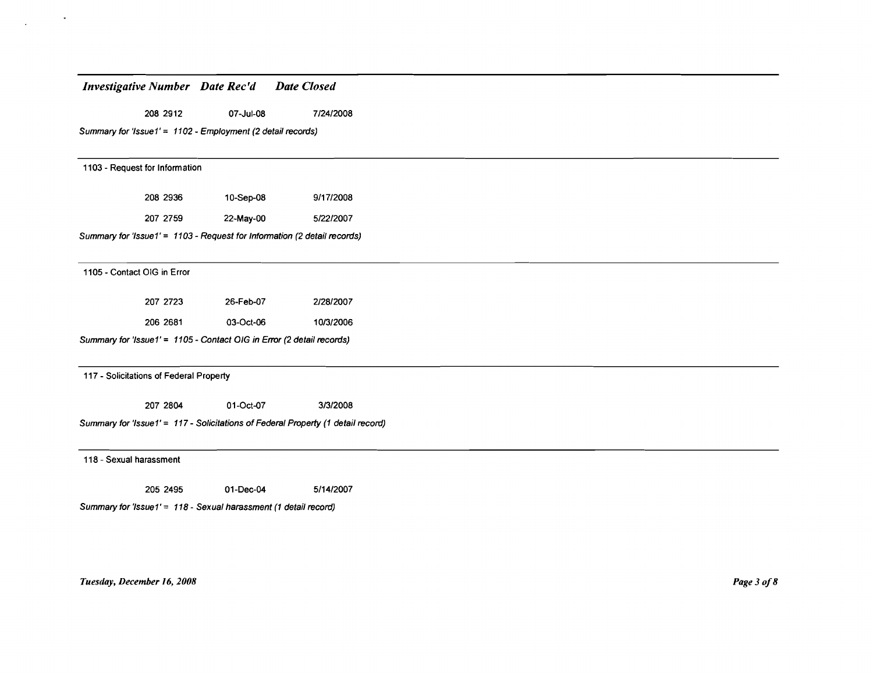208 2912 07-Jul-08 7/24/2008

Summary for 'Issue1' = 1102 - Employment (2 detail records)

1103 - Request for Information

| 208 2936 | 10-Sep-08 | 9/17/2008 |
|----------|-----------|-----------|
| 207 2759 | 22-May-00 | 5/22/2007 |

Summary for 'Issue1' = 1103 - Request for Information (2 detail records)

1105 - Contact OIG in Error

| 207 2723 | 26-Feb-07 | 2/28/2007 |
|----------|-----------|-----------|
| 206 2681 | 03-Oct-06 | 10/3/2006 |

Summary for 'Issue1' = 1105 - Contact OIG in Error (2 detail records)

117 - Solicitations of Federal Property

207 2804 01-0ct-Q7 31312008

Summary for 'Issue1' = 117 - Solicitations of Federal Property (1 detail record)

118 - Sexual harassment

205 2495 01-Dec-04 5/14/2007

Summary for 'Issue 1' = 118 - Sexual harassment (1 detail record)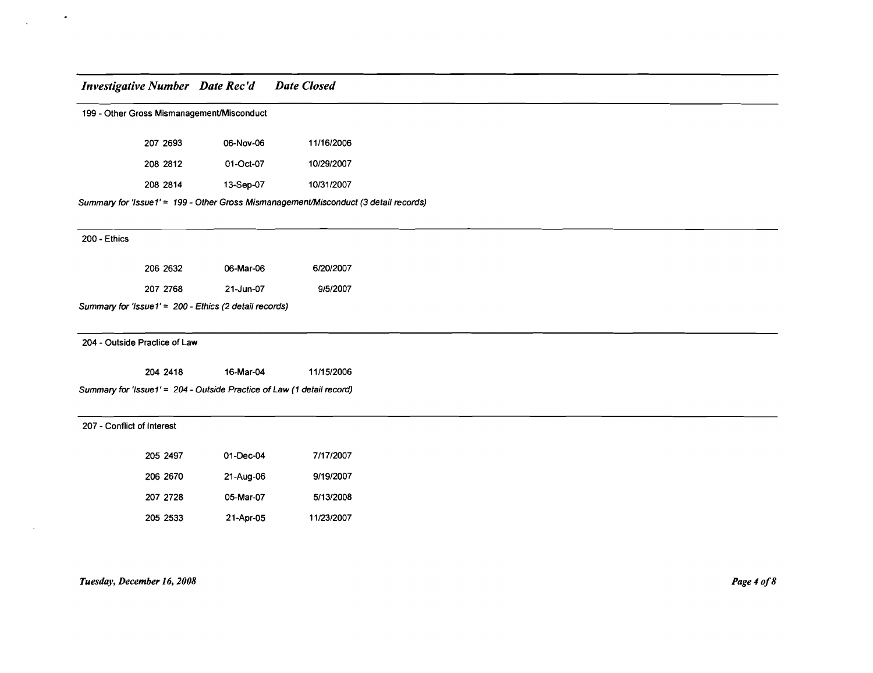$\bullet$ 

 $\cdot$ 

 $\lambda$ 

|                            | 199 - Other Gross Mismanagement/Misconduct |                                                                        |                                                                                      |  |  |  |
|----------------------------|--------------------------------------------|------------------------------------------------------------------------|--------------------------------------------------------------------------------------|--|--|--|
|                            | 207 2693                                   | 06-Nov-06                                                              | 11/16/2006                                                                           |  |  |  |
|                            | 208 2812                                   | 01-Oct-07                                                              | 10/29/2007                                                                           |  |  |  |
|                            | 208 2814                                   | 13-Sep-07                                                              | 10/31/2007                                                                           |  |  |  |
|                            |                                            |                                                                        | Summary for 'Issue1' = 199 - Other Gross Mismanagement/Misconduct (3 detail records) |  |  |  |
| 200 - Ethics               |                                            |                                                                        |                                                                                      |  |  |  |
|                            | 206 2632                                   | 06-Mar-06                                                              | 6/20/2007                                                                            |  |  |  |
|                            | 207 2768                                   | 21-Jun-07                                                              | 9/5/2007                                                                             |  |  |  |
|                            |                                            | Summary for 'Issue1' = 200 - Ethics (2 detail records)                 |                                                                                      |  |  |  |
|                            | 204 - Outside Practice of Law              |                                                                        |                                                                                      |  |  |  |
|                            | 204 2418                                   | 16-Mar-04                                                              | 11/15/2006                                                                           |  |  |  |
|                            |                                            | Summary for 'Issue1' = 204 - Outside Practice of Law (1 detail record) |                                                                                      |  |  |  |
| 207 - Conflict of Interest |                                            |                                                                        |                                                                                      |  |  |  |
|                            | 205 2497                                   | 01-Dec-04                                                              | 7/17/2007                                                                            |  |  |  |
|                            | 206 2670                                   | 21-Aug-06                                                              | 9/19/2007                                                                            |  |  |  |
|                            | 207 2728                                   | 05-Mar-07                                                              | 5/13/2008                                                                            |  |  |  |

205 2533 21-Apr-05 11/23/2007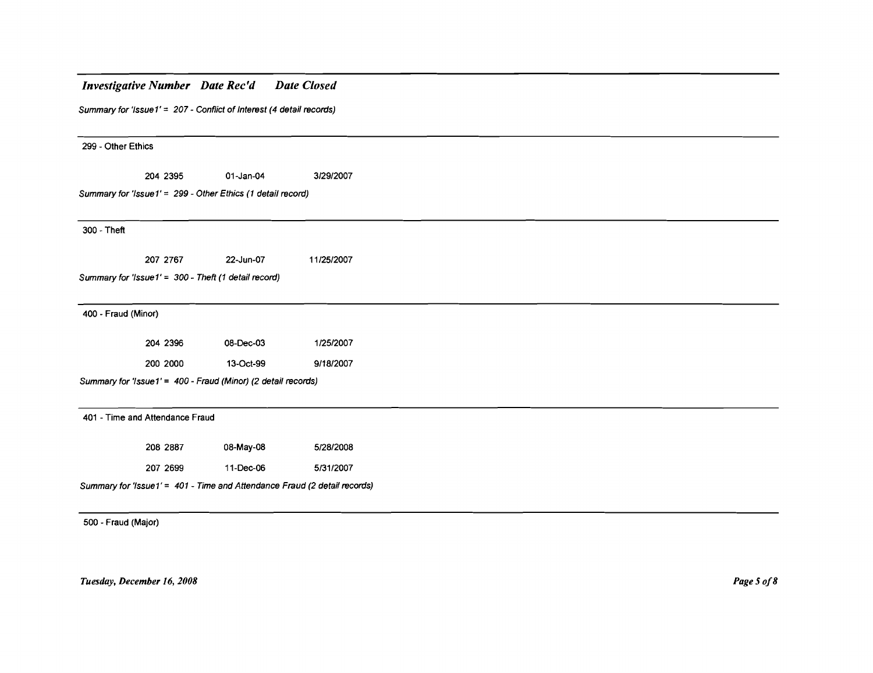# *Investigative Number Date Rec'd Date Closed* Summary for 'Issue  $1' = 207$  - Conflict of Interest (4 detail records) 299 - Other Ethics 204 2395 01-Jan-04 3/29/2007 Summary for 'Issue1' = 299 - Other Ethics (1 detail record) 300 - Theft 207 2767 22-Jun-07 Summary for 'Issue  $1' = 300$  - Theft (1 detail record) 400 - Fraud (Minor) 11/25/2007 204 2396 08-Dec-03 1/2512007 200 2000 13-0ct-99 9118/2007 Summary for 'Issue 1' = 400 - Fraud (Minor) (2 detail records) 401 - Time and Attendance Fraud 208 2887 08-May-08 5/28/2008 207 2699 11-Dec-06 5/31/2007

Summary for 'Issue 1' = 401 - Time and Attendance Fraud (2 detail records)

500 - Fraud (Major)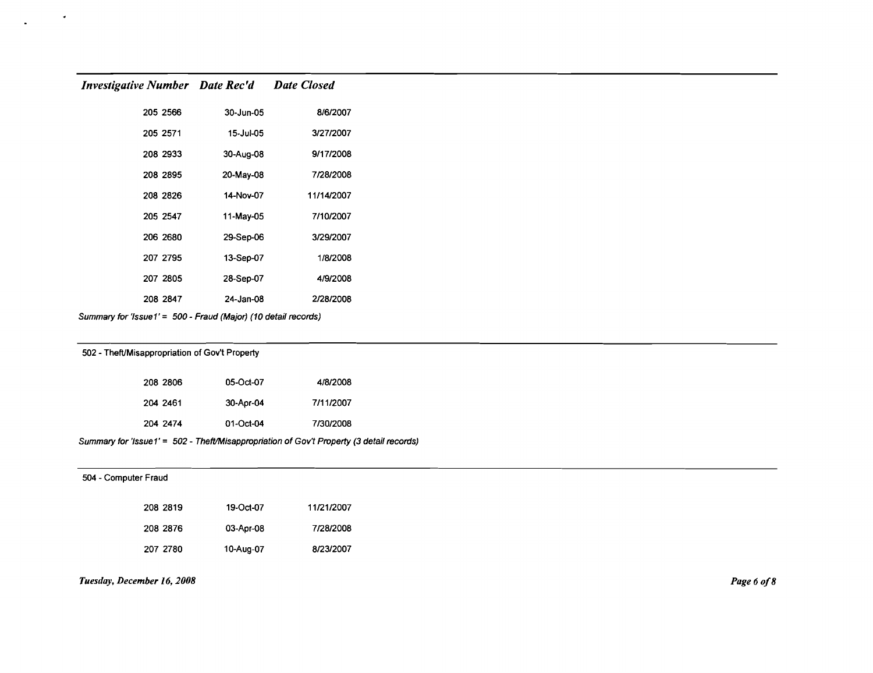$\bullet$ 

| 8/6/2007   | 30-Jun-05 | 205 2566 |
|------------|-----------|----------|
| 3/27/2007  | 15-Jul-05 | 205 2571 |
| 9/17/2008  | 30-Aug-08 | 208 2933 |
| 7/28/2008  | 20-May-08 | 208 2895 |
| 11/14/2007 | 14-Nov-07 | 208 2826 |
| 7/10/2007  | 11-May-05 | 205 2547 |
| 3/29/2007  | 29-Sep-06 | 206 2680 |
| 1/8/2008   | 13-Sep-07 | 207 2795 |
| 4/9/2008   | 28-Sep-07 | 207 2805 |
| 2/28/2008  | 24-Jan-08 | 208 2847 |

Summary for 'Issue1' = 500 - Fraud (Major) (10 detail records)

### 502 - Theft/Misappropriation of GOy't Property

| 208 2806 | 05-Oct-07 | 4/8/2008  |
|----------|-----------|-----------|
| 204 2461 | 30-Apr-04 | 7/11/2007 |
| 204 2474 | 01-Oct-04 | 7/30/2008 |

Summary for 'lssue1' = 502 - TheftlMisappropriation of Gov't Property (3 detail records)

| 504 - Computer Fraud |          |           |            |
|----------------------|----------|-----------|------------|
|                      | 208 2819 | 19-Oct-07 | 11/21/2007 |
|                      | 208 2876 | 03-Apr-08 | 7/28/2008  |
|                      | 207 2780 | 10-Aug-07 | 8/23/2007  |

### *Tuesday, December* 16, *2008*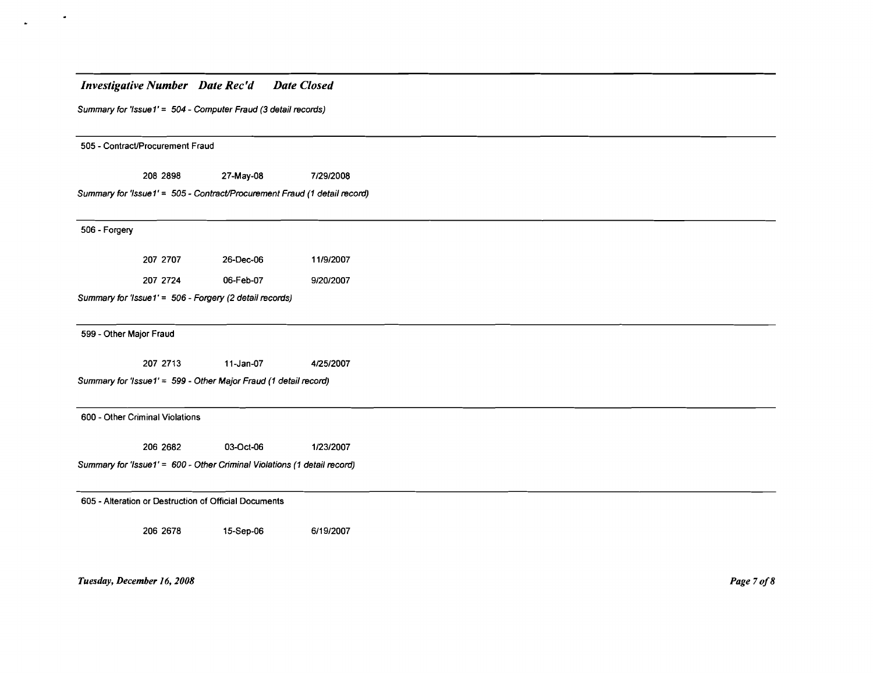| <b>Investigative Number Date Rec'd</b>                                    |           | <b>Date Closed</b> |  |  |
|---------------------------------------------------------------------------|-----------|--------------------|--|--|
| Summary for 'Issue1' = 504 - Computer Fraud (3 detail records)            |           |                    |  |  |
| 505 - Contract/Procurement Fraud                                          |           |                    |  |  |
|                                                                           |           |                    |  |  |
| 208 2898                                                                  | 27-May-08 | 7/29/2008          |  |  |
| Summary for 'Issue1' = 505 - Contract/Procurement Fraud (1 detail record) |           |                    |  |  |
| 506 - Forgery                                                             |           |                    |  |  |
| 207 2707                                                                  | 26-Dec-06 | 11/9/2007          |  |  |
| 207 2724                                                                  | 06-Feb-07 | 9/20/2007          |  |  |
| Summary for 'Issue1' = 506 - Forgery (2 detail records)                   |           |                    |  |  |
| 599 - Other Major Fraud                                                   |           |                    |  |  |
| 207 2713                                                                  | 11-Jan-07 | 4/25/2007          |  |  |
| Summary for 'Issue1' = 599 - Other Major Fraud (1 detail record)          |           |                    |  |  |
| 600 - Other Criminal Violations                                           |           |                    |  |  |
| 206 2682                                                                  | 03-Oct-06 | 1/23/2007          |  |  |
| Summary for 'Issue1' = 600 - Other Criminal Violations (1 detail record)  |           |                    |  |  |
| 605 - Alteration or Destruction of Official Documents                     |           |                    |  |  |
| 206 2678                                                                  | 15-Sep-06 | 6/19/2007          |  |  |
|                                                                           |           |                    |  |  |
|                                                                           |           |                    |  |  |

*Tuesday, December* 16, *2008*

 $\bullet$ 

 $\omega$